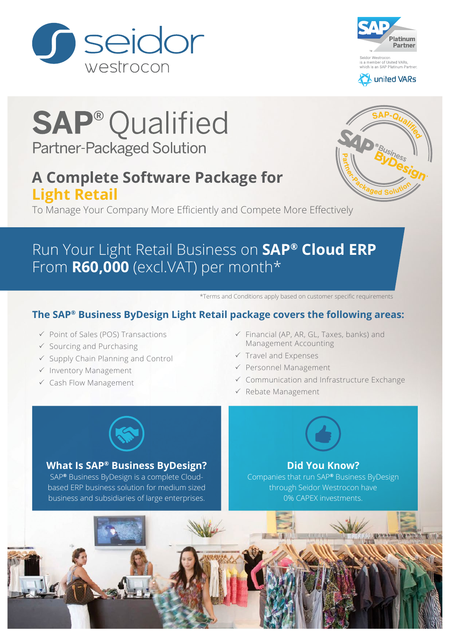





# **SAP<sup>®</sup>Qualified Partner-Packaged Solution**

### **A Complete Software Package for Light Retail**

To Manage Your Company More Efficiently and Compete More Effectively

## Run Your Light Retail Business on **SAP® Cloud ERP** From **R60,000** (excl.VAT) per month\*

\*Terms and Conditions apply based on customer specific requirements

### **The SAP® Business ByDesign Light Retail package covers the following areas:**

- $\checkmark$  Point of Sales (POS) Transactions
- $\checkmark$  Sourcing and Purchasing
- $\checkmark$  Supply Chain Planning and Control
- $\checkmark$  Inventory Management
- $\checkmark$  Cash Flow Management
- $\checkmark$  Financial (AP, AR, GL, Taxes, banks) and Management Accounting
- $\checkmark$  Travel and Expenses
- $\checkmark$  Personnel Management
- $\checkmark$  Communication and Infrastructure Exchange
- $\checkmark$  Rebate Management



#### **What Is SAP® Business ByDesign?**

SAP**®** Business ByDesign is a complete Cloudbased ERP business solution for medium sized business and subsidiaries of large enterprises.

#### **Did You Know?**

Companies that run SAP**®** Business ByDesign through Seidor Westrocon have 0% CAPEX investments.